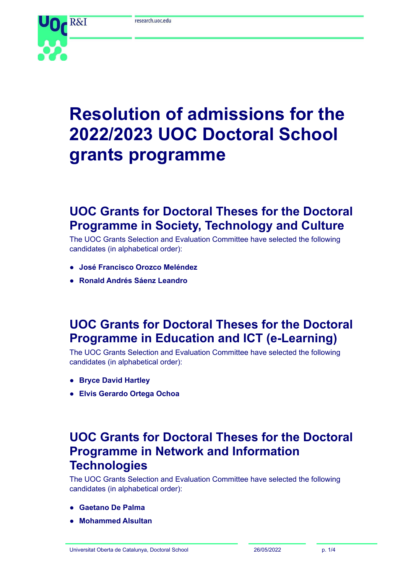

# **Resolution of admissions for the 2022/2023 UOC Doctoral School grants programme**

# **UOC Grants for Doctoral Theses for the Doctoral Programme in Society, Technology and Culture**

The UOC Grants Selection and Evaluation Committee have selected the following candidates (in alphabetical order):

- **● José Francisco Orozco Meléndez**
- **● Ronald Andrés Sáenz Leandro**

# **UOC Grants for Doctoral Theses for the Doctoral Programme in Education and ICT (e-Learning)**

The UOC Grants Selection and Evaluation Committee have selected the following candidates (in alphabetical order):

- **● Bryce David Hartley**
- **● Elvis Gerardo Ortega Ochoa**

## **UOC Grants for Doctoral Theses for the Doctoral Programme in Network and Information Technologies**

The UOC Grants Selection and Evaluation Committee have selected the following candidates (in alphabetical order):

- **● Gaetano De Palma**
- **● Mohammed Alsultan**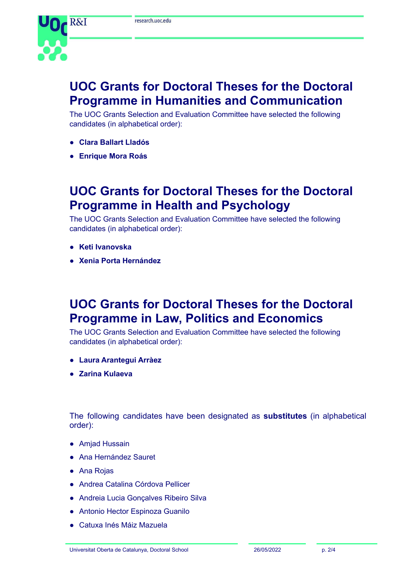

# **UOC Grants for Doctoral Theses for the Doctoral Programme in Humanities and Communication**

The UOC Grants Selection and Evaluation Committee have selected the following candidates (in alphabetical order):

- **● Clara Ballart Lladós**
- **● Enrique Mora Roás**

### **UOC Grants for Doctoral Theses for the Doctoral Programme in Health and Psychology**

The UOC Grants Selection and Evaluation Committee have selected the following candidates (in alphabetical order):

- **● Keti Ivanovska**
- **● Xenia Porta Hernández**

#### **UOC Grants for Doctoral Theses for the Doctoral Programme in Law, Politics and Economics**

The UOC Grants Selection and Evaluation Committee have selected the following candidates (in alphabetical order):

- **● Laura Arantegui Arràez**
- **● Zarina Kulaeva**

The following candidates have been designated as **substitutes** (in alphabetical order):

- **●** Amjad Hussain
- **●** Ana Hernández Sauret
- **●** Ana Rojas
- **●** Andrea Catalina Córdova Pellicer
- **●** Andreia Lucia Gonçalves Ribeiro Silva
- **●** Antonio Hector Espinoza Guanilo
- **●** Catuxa Inés Máiz Mazuela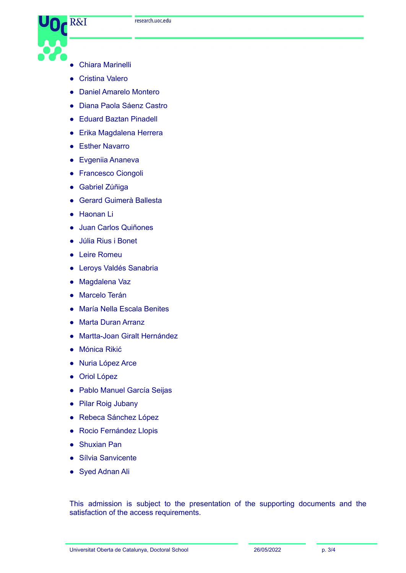

- **●** Chiara Marinelli
- **●** Cristina Valero
- **●** Daniel Amarelo Montero
- **●** Diana Paola Sáenz Castro
- **●** Eduard Baztan Pinadell
- **●** Erika Magdalena Herrera
- **●** Esther Navarro
- **●** Evgeniia Ananeva
- **●** Francesco Ciongoli
- **●** Gabriel Zúñiga
- **●** Gerard Guimerà Ballesta
- **●** Haonan Li
- **●** Juan Carlos Quiñones
- **●** Júlia Rius i Bonet
- **●** Leire Romeu
- **●** Leroys Valdés Sanabria
- **●** Magdalena Vaz
- **●** Marcelo Terán
- **●** María Nella Escala Benites
- **●** Marta Duran Arranz
- **●** Martta-Joan Giralt Hernández
- **●** Mónica Rikić
- **●** Nuria López Arce
- **●** Oriol López
- **●** Pablo Manuel García Seijas
- **●** Pilar Roig Jubany
- **●** Rebeca Sánchez López
- **●** Rocio Fernández Llopis
- **●** Shuxian Pan
- **●** Sílvia Sanvicente
- **●** Syed Adnan Ali

This admission is subject to the presentation of the supporting documents and the satisfaction of the access requirements.